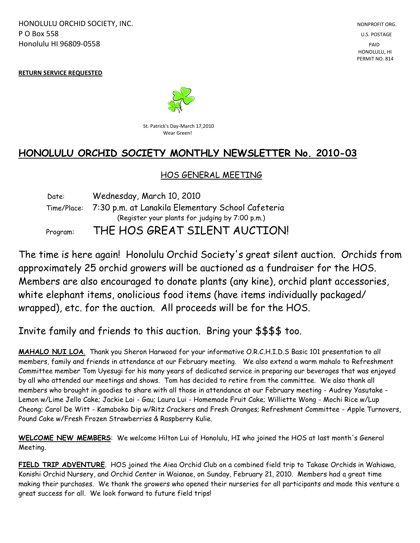HONOLULU ORCHID SOCIETY, INC. NONPROFIT ORG. NONPROFIT ORG. **P O Box 558** U.S. POSTAGE Honolulu HI 96809-0558 PAID

 HONOLULU, HI PERMIT NO. 814

**RETURN SERVICE REQUESTED**



St. Patrick's Day-March 17,2010 **Property Controllering Controllering Controllering Controllering Controllering Controllering Controllering Controllering Controllering Controllering Controllering Controllering Controllering Controllering Controllering Co** 

# **HONOLULU ORCHID SOCIETY MONTHLY NEWSLETTER No. 2010-03**

### HOS GENERAL MEETING

 Date: Wednesday, March 10, 2010 Time/Place: 7:30 p.m. at Lanakila Elementary School Cafeteria (Register your plants for judging by 7:00 p.m.) Program: THE HOS GREAT SILENT AUCTION!

The time is here again! Honolulu Orchid Society's great silent auction. Orchids from approximately 25 orchid growers will be auctioned as a fundraiser for the HOS. Members are also encouraged to donate plants (any kine), orchid plant accessories, white elephant items, onolicious food items (have items individually packaged/ wrapped), etc. for the auction. All proceeds will be for the HOS.

Invite family and friends to this auction. Bring your \$\$\$\$ too.

**MAHALO NUI LOA**. Thank you Sheron Harwood for your informative O.R.C.H.I.D.S Basic 101 presentation to all members, family and friends in attendance at our February meeting. We also extend a warm mahalo to Refreshment Committee member Tom Uyesugi for his many years of dedicated service in preparing our beverages that was enjoyed by all who attended our meetings and shows. Tom has decided to retire from the committee. We also thank all members who brought in goodies to share with all those in attendance at our February meeting - Audrey Yasutake - Lemon w/Lime Jello Cake; Jackie Lai - Gau; Laura Lui - Homemade Fruit Cake; Williette Wong - Mochi Rice w/Lup Cheong; Carol De Witt - Kamaboko Dip w/Ritz Crackers and Fresh Oranges; Refreshment Committee - Apple Turnovers, Pound Cake w/Fresh Frozen Strawberries & Raspberry Kulie.

**WELCOME NEW MEMBERS**: We welcome Hilton Lui of Honolulu, HI who joined the HOS at last month's General Meeting.

**FIELD TRIP ADVENTURE**. HOS joined the Aiea Orchid Club on a combined field trip to Takase Orchids in Wahiawa, Konishi Orchid Nursery, and Orchid Center in Waianae, on Sunday, February 21, 2010. Members had a great time making their purchases. We thank the growers who opened their nurseries for all participants and made this venture a great success for all. We look forward to future field trips!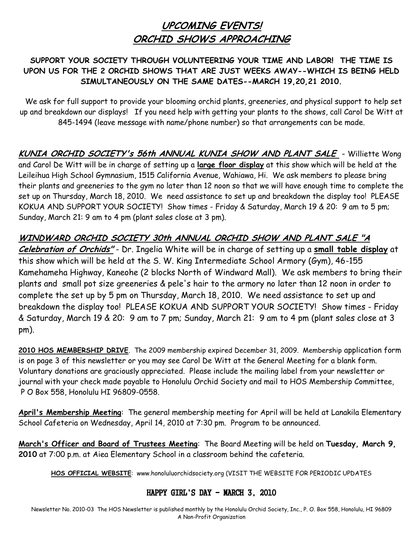# **UPCOMING EVENTS! ORCHID SHOWS APPROACHING**

### **SUPPORT YOUR SOCIETY THROUGH VOLUNTEERING YOUR TIME AND LABOR! THE TIME IS UPON US FOR THE 2 ORCHID SHOWS THAT ARE JUST WEEKS AWAY--WHICH IS BEING HELD SIMULTANEOUSLY ON THE SAME DATES--MARCH 19,20,21 2010.**

 We ask for full support to provide your blooming orchid plants, greeneries, and physical support to help set up and breakdown our displays! If you need help with getting your plants to the shows, call Carol De Witt at 845-1494 (leave message with name/phone number) so that arrangements can be made.

**KUNIA ORCHID SOCIETY's 56th ANNUAL KUNIA SHOW AND PLANT SALE** - Williette Wong and Carol De Witt will be in charge of setting up a **large floor display** at this show which will be held at the Leileihua High School Gymnasium, 1515 California Avenue, Wahiawa, Hi. We ask members to please bring their plants and greeneries to the gym no later than 12 noon so that we will have enough time to complete the set up on Thursday, March 18, 2010. We need assistance to set up and breakdown the display too! PLEASE KOKUA AND SUPPORT YOUR SOCIETY! Show times - Friday & Saturday, March 19 & 20: 9 am to 5 pm; Sunday, March 21: 9 am to 4 pm (plant sales close at 3 pm).

**WINDWARD ORCHID SOCIETY 30th ANNUAL ORCHID SHOW AND PLANT SALE "A Celebration of Orchids"** - Dr. Ingelia White will be in charge of setting up a **small table display** at this show which will be held at the S. W. King Intermediate School Armory (Gym), 46-155 Kamehameha Highway, Kaneohe (2 blocks North of Windward Mall). We ask members to bring their plants and small pot size greeneries & pele's hair to the armory no later than 12 noon in order to complete the set up by 5 pm on Thursday, March 18, 2010. We need assistance to set up and breakdown the display too! PLEASE KOKUA AND SUPPORT YOUR SOCIETY! Show times - Friday & Saturday, March 19 & 20: 9 am to 7 pm; Sunday, March 21: 9 am to 4 pm (plant sales close at 3 pm).

**2010 HOS MEMBERSHIP DRIVE**. The 2009 membership expired December 31, 2009. Membership application form is on page 3 of this newsletter or you may see Carol De Witt at the General Meeting for a blank form. Voluntary donations are graciously appreciated. Please include the mailing label from your newsletter or journal with your check made payable to Honolulu Orchid Society and mail to HOS Membership Committee, P O Box 558, Honolulu HI 96809-0558.

**April's Membership Meeting**: The general membership meeting for April will be held at Lanakila Elementary School Cafeteria on Wednesday, April 14, 2010 at 7:30 pm. Program to be announced.

**March's Officer and Board of Trustees Meeting**: The Board Meeting will be held on **Tuesday, March 9, 2010** at 7:00 p.m. at Aiea Elementary School in a classroom behind the cafeteria.

**HOS OFFICIAL WEBSITE**: www.honoluluorchidsociety.org (VISIT THE WEBSITE FOR PERIODIC UPDATES

### HAPPY GIRL'S DAY - MARCH 3, 2010